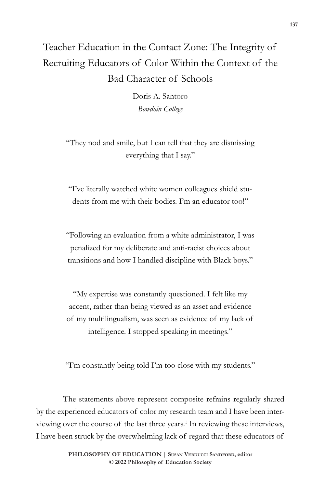# Teacher Education in the Contact Zone: The Integrity of Recruiting Educators of Color Within the Context of the Bad Character of Schools

Doris A. Santoro *Bowdoin College*

"They nod and smile, but I can tell that they are dismissing everything that I say."

"I've literally watched white women colleagues shield students from me with their bodies. I'm an educator too!"

"Following an evaluation from a white administrator, I was penalized for my deliberate and anti-racist choices about transitions and how I handled discipline with Black boys."

"My expertise was constantly questioned. I felt like my accent, rather than being viewed as an asset and evidence of my multilingualism, was seen as evidence of my lack of intelligence. I stopped speaking in meetings."

"I'm constantly being told I'm too close with my students."

The statements above represent composite refrains regularly shared by the experienced educators of color my research team and I have been interviewing over the course of the last three years.<sup>1</sup> In reviewing these interviews, I have been struck by the overwhelming lack of regard that these educators of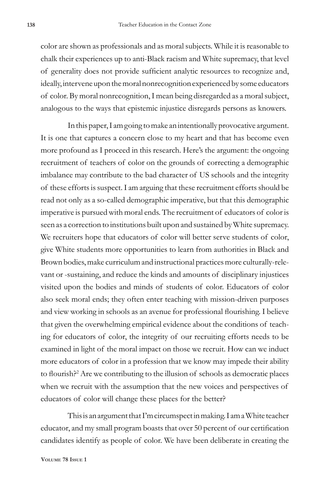color are shown as professionals and as moral subjects. While it is reasonable to chalk their experiences up to anti-Black racism and White supremacy, that level of generality does not provide sufficient analytic resources to recognize and, ideally, intervene upon the moral nonrecognition experienced by some educators of color. By moral nonrecognition, I mean being disregarded as a moral subject, analogous to the ways that epistemic injustice disregards persons as knowers.

In this paper, I am going to make an intentionally provocative argument. It is one that captures a concern close to my heart and that has become even more profound as I proceed in this research. Here's the argument: the ongoing recruitment of teachers of color on the grounds of correcting a demographic imbalance may contribute to the bad character of US schools and the integrity of these efforts is suspect. I am arguing that these recruitment efforts should be read not only as a so-called demographic imperative, but that this demographic imperative is pursued with moral ends. The recruitment of educators of color is seen as a correction to institutions built upon and sustained by White supremacy. We recruiters hope that educators of color will better serve students of color, give White students more opportunities to learn from authorities in Black and Brown bodies, make curriculum and instructional practices more culturally-relevant or -sustaining, and reduce the kinds and amounts of disciplinary injustices visited upon the bodies and minds of students of color. Educators of color also seek moral ends; they often enter teaching with mission-driven purposes and view working in schools as an avenue for professional flourishing. I believe that given the overwhelming empirical evidence about the conditions of teaching for educators of color, the integrity of our recruiting efforts needs to be examined in light of the moral impact on those we recruit. How can we induct more educators of color in a profession that we know may impede their ability to flourish?<sup>2</sup> Are we contributing to the illusion of schools as democratic places when we recruit with the assumption that the new voices and perspectives of educators of color will change these places for the better?

This is an argument that I'm circumspect in making. I am a White teacher educator, and my small program boasts that over 50 percent of our certification candidates identify as people of color. We have been deliberate in creating the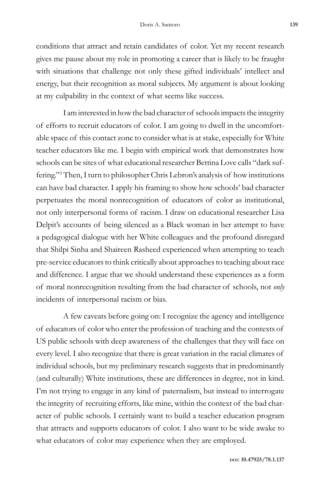conditions that attract and retain candidates of color. Yet my recent research gives me pause about my role in promoting a career that is likely to be fraught with situations that challenge not only these gifted individuals' intellect and energy, but their recognition as moral subjects. My argument is about looking at my culpability in the context of what seems like success.

I am interested in how the bad character of schools impacts the integrity of efforts to recruit educators of color. I am going to dwell in the uncomfortable space of this contact zone to consider what is at stake, especially for White teacher educators like me. I begin with empirical work that demonstrates how schools can be sites of what educational researcher Bettina Love calls "dark suffering."3 Then, I turn to philosopher Chris Lebron's analysis of how institutions can have bad character. I apply his framing to show how schools' bad character perpetuates the moral nonrecognition of educators of color as institutional, not only interpersonal forms of racism. I draw on educational researcher Lisa Delpit's accounts of being silenced as a Black woman in her attempt to have a pedagogical dialogue with her White colleagues and the profound disregard that Shilpi Sinha and Shaireen Rasheed experienced when attempting to teach pre-service educators to think critically about approaches to teaching about race and difference. I argue that we should understand these experiences as a form of moral nonrecognition resulting from the bad character of schools, not *only* incidents of interpersonal racism or bias.

A few caveats before going on: I recognize the agency and intelligence of educators of color who enter the profession of teaching and the contexts of US public schools with deep awareness of the challenges that they will face on every level. I also recognize that there is great variation in the racial climates of individual schools, but my preliminary research suggests that in predominantly (and culturally) White institutions, these are differences in degree, not in kind. I'm not trying to engage in any kind of paternalism, but instead to interrogate the integrity of recruiting efforts, like mine, within the context of the bad character of public schools. I certainly want to build a teacher education program that attracts and supports educators of color. I also want to be wide awake to what educators of color may experience when they are employed.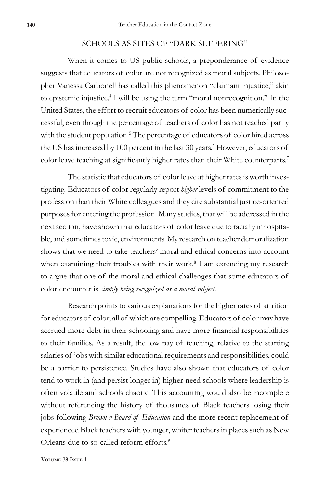## SCHOOLS AS SITES OF "DARK SUFFERING"

When it comes to US public schools, a preponderance of evidence suggests that educators of color are not recognized as moral subjects. Philosopher Vanessa Carbonell has called this phenomenon "claimant injustice," akin to epistemic injustice.<sup>4</sup> I will be using the term "moral nonrecognition." In the United States, the effort to recruit educators of color has been numerically successful, even though the percentage of teachers of color has not reached parity with the student population.<sup>5</sup> The percentage of educators of color hired across the US has increased by 100 percent in the last 30 years.<sup>6</sup> However, educators of color leave teaching at significantly higher rates than their White counterparts.<sup>7</sup>

The statistic that educators of color leave at higher rates is worth investigating. Educators of color regularly report *higher* levels of commitment to the profession than their White colleagues and they cite substantial justice-oriented purposes for entering the profession. Many studies, that will be addressed in the next section, have shown that educators of color leave due to racially inhospitable, and sometimes toxic, environments. My research on teacher demoralization shows that we need to take teachers' moral and ethical concerns into account when examining their troubles with their work.<sup>8</sup> I am extending my research to argue that one of the moral and ethical challenges that some educators of color encounter is *simply being recognized as a moral subject*.

Research points to various explanations for the higher rates of attrition for educators of color, all of which are compelling. Educators of color may have accrued more debt in their schooling and have more financial responsibilities to their families. As a result, the low pay of teaching, relative to the starting salaries of jobs with similar educational requirements and responsibilities, could be a barrier to persistence. Studies have also shown that educators of color tend to work in (and persist longer in) higher-need schools where leadership is often volatile and schools chaotic. This accounting would also be incomplete without referencing the history of thousands of Black teachers losing their jobs following *Brown v Board of Education* and the more recent replacement of experienced Black teachers with younger, whiter teachers in places such as New Orleans due to so-called reform efforts.<sup>9</sup>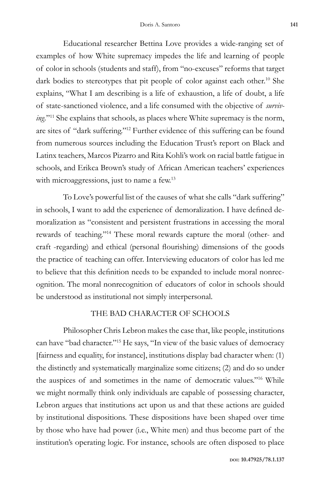Educational researcher Bettina Love provides a wide-ranging set of examples of how White supremacy impedes the life and learning of people of color in schools (students and staff), from "no-excuses" reforms that target dark bodies to stereotypes that pit people of color against each other.<sup>10</sup> She explains, "What I am describing is a life of exhaustion, a life of doubt, a life of state-sanctioned violence, and a life consumed with the objective of *surviving.*"11 She explains that schools, as places where White supremacy is the norm, are sites of "dark suffering."12 Further evidence of this suffering can be found from numerous sources including the Education Trust's report on Black and Latinx teachers, Marcos Pizarro and Rita Kohli's work on racial battle fatigue in schools, and Erikca Brown's study of African American teachers' experiences with microaggressions, just to name a few.<sup>13</sup>

To Love's powerful list of the causes of what she calls "dark suffering" in schools, I want to add the experience of demoralization. I have defined demoralization as "consistent and persistent frustrations in accessing the moral rewards of teaching."14 These moral rewards capture the moral (other- and craft -regarding) and ethical (personal flourishing) dimensions of the goods the practice of teaching can offer. Interviewing educators of color has led me to believe that this definition needs to be expanded to include moral nonrecognition. The moral nonrecognition of educators of color in schools should be understood as institutional not simply interpersonal.

#### THE BAD CHARACTER OF SCHOOLS

Philosopher Chris Lebron makes the case that, like people, institutions can have "bad character."15 He says, "In view of the basic values of democracy [fairness and equality, for instance], institutions display bad character when: (1) the distinctly and systematically marginalize some citizens; (2) and do so under the auspices of and sometimes in the name of democratic values."16 While we might normally think only individuals are capable of possessing character, Lebron argues that institutions act upon us and that these actions are guided by institutional dispositions. These dispositions have been shaped over time by those who have had power (i.e., White men) and thus become part of the institution's operating logic. For instance, schools are often disposed to place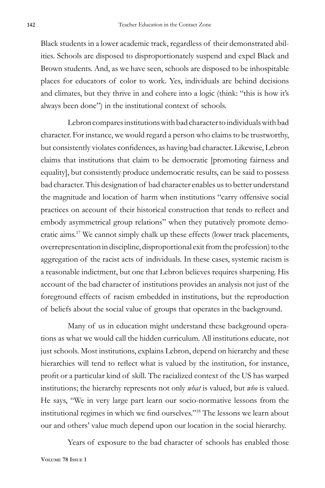Black students in a lower academic track, regardless of their demonstrated abilities. Schools are disposed to disproportionately suspend and expel Black and Brown students. And, as we have seen, schools are disposed to be inhospitable places for educators of color to work. Yes, individuals are behind decisions and climates, but they thrive in and cohere into a logic (think: "this is how it's always been done") in the institutional context of schools.

Lebron compares institutions with bad character to individuals with bad character. For instance, we would regard a person who claims to be trustworthy, but consistently violates confidences, as having bad character. Likewise, Lebron claims that institutions that claim to be democratic [promoting fairness and equality], but consistently produce undemocratic results, can be said to possess bad character. This designation of bad character enables us to better understand the magnitude and location of harm when institutions "carry offensive social practices on account of their historical construction that tends to reflect and embody asymmetrical group relations" when they putatively promote democratic aims.17 We cannot simply chalk up these effects (lower track placements, overrepresentation in discipline, disproportional exit from the profession) to the aggregation of the racist acts of individuals. In these cases, systemic racism is a reasonable indictment, but one that Lebron believes requires sharpening. His account of the bad character of institutions provides an analysis not just of the foreground effects of racism embedded in institutions, but the reproduction of beliefs about the social value of groups that operates in the background.

Many of us in education might understand these background operations as what we would call the hidden curriculum. All institutions educate, not just schools. Most institutions, explains Lebron, depend on hierarchy and these hierarchies will tend to reflect what is valued by the institution, for instance, profit or a particular kind of skill. The racialized context of the US has warped institutions; the hierarchy represents not only *what* is valued, but *who* is valued. He says, "We in very large part learn our socio-normative lessons from the institutional regimes in which we find ourselves."18 The lessons we learn about our and others' value much depend upon our location in the social hierarchy.

Years of exposure to the bad character of schools has enabled those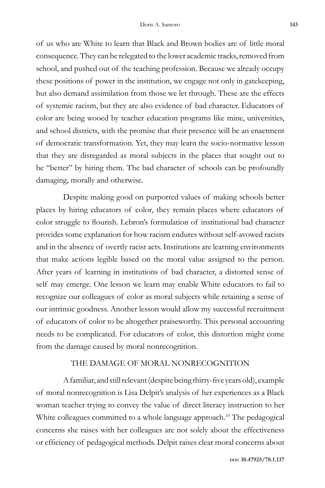of us who are White to learn that Black and Brown bodies are of little moral consequence. They can be relegated to the lower academic tracks, removed from school, and pushed out of the teaching profession. Because we already occupy these positions of power in the institution, we engage not only in gatekeeping, but also demand assimilation from those we let through. These are the effects of systemic racism, but they are also evidence of bad character. Educators of color are being wooed by teacher education programs like mine, universities, and school districts, with the promise that their presence will be an enactment of democratic transformation. Yet, they may learn the socio-normative lesson that they are disregarded as moral subjects in the places that sought out to be "better" by hiring them. The bad character of schools can be profoundly damaging, morally and otherwise.

Despite making good on purported values of making schools better places by hiring educators of color, they remain places where educators of color struggle to flourish. Lebron's formulation of institutional bad character provides some explanation for how racism endures without self-avowed racists and in the absence of overtly racist acts. Institutions are learning environments that make actions legible based on the moral value assigned to the person. After years of learning in institutions of bad character, a distorted sense of self may emerge. One lesson we learn may enable White educators to fail to recognize our colleagues of color as moral subjects while retaining a sense of our intrinsic goodness. Another lesson would allow my successful recruitment of educators of color to be altogether praiseworthy. This personal accounting needs to be complicated. For educators of color, this distortion might come from the damage caused by moral nonrecognition.

# THE DAMAGE OF MORAL NONRECOGNITION

A familiar, and still relevant (despite being thirty-five years old), example of moral nonrecognition is Lisa Delpit's analysis of her experiences as a Black woman teacher trying to convey the value of direct literacy instruction to her White colleagues committed to a whole language approach.<sup>19</sup> The pedagogical concerns she raises with her colleagues are not solely about the effectiveness or efficiency of pedagogical methods. Delpit raises clear moral concerns about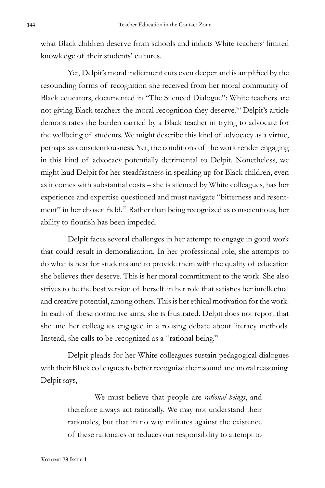what Black children deserve from schools and indicts White teachers' limited knowledge of their students' cultures.

Yet, Delpit's moral indictment cuts even deeper and is amplified by the resounding forms of recognition she received from her moral community of Black educators, documented in "The Silenced Dialogue": White teachers are not giving Black teachers the moral recognition they deserve.20 Delpit's article demonstrates the burden carried by a Black teacher in trying to advocate for the wellbeing of students. We might describe this kind of advocacy as a virtue, perhaps as conscientiousness. Yet, the conditions of the work render engaging in this kind of advocacy potentially detrimental to Delpit. Nonetheless, we might laud Delpit for her steadfastness in speaking up for Black children, even as it comes with substantial costs – she is silenced by White colleagues, has her experience and expertise questioned and must navigate "bitterness and resentment" in her chosen field.<sup>21</sup> Rather than being recognized as conscientious, her ability to flourish has been impeded.

Delpit faces several challenges in her attempt to engage in good work that could result in demoralization. In her professional role, she attempts to do what is best for students and to provide them with the quality of education she believes they deserve. This is her moral commitment to the work. She also strives to be the best version of herself in her role that satisfies her intellectual and creative potential, among others. This is her ethical motivation for the work. In each of these normative aims, she is frustrated. Delpit does not report that she and her colleagues engaged in a rousing debate about literacy methods. Instead, she calls to be recognized as a "rational being."

Delpit pleads for her White colleagues sustain pedagogical dialogues with their Black colleagues to better recognize their sound and moral reasoning. Delpit says,

> We must believe that people are *rational beings*, and therefore always act rationally. We may not understand their rationales, but that in no way militates against the existence of these rationales or reduces our responsibility to attempt to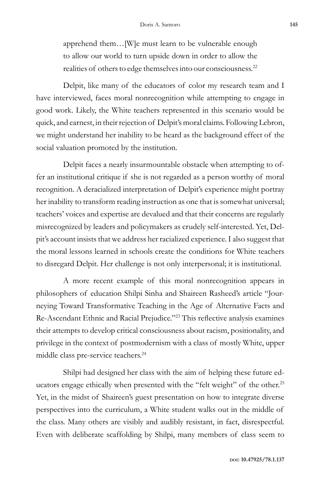apprehend them…[W]e must learn to be vulnerable enough to allow our world to turn upside down in order to allow the realities of others to edge themselves into our consciousness.<sup>22</sup>

Delpit, like many of the educators of color my research team and I have interviewed, faces moral nonrecognition while attempting to engage in good work. Likely, the White teachers represented in this scenario would be quick, and earnest, in their rejection of Delpit's moral claims. Following Lebron, we might understand her inability to be heard as the background effect of the social valuation promoted by the institution.

Delpit faces a nearly insurmountable obstacle when attempting to offer an institutional critique if she is not regarded as a person worthy of moral recognition. A deracialized interpretation of Delpit's experience might portray her inability to transform reading instruction as one that is somewhat universal; teachers' voices and expertise are devalued and that their concerns are regularly misrecognized by leaders and policymakers as crudely self-interested. Yet, Delpit's account insists that we address her racialized experience. I also suggest that the moral lessons learned in schools create the conditions for White teachers to disregard Delpit. Her challenge is not only interpersonal; it is institutional.

A more recent example of this moral nonrecognition appears in philosophers of education Shilpi Sinha and Shaireen Rasheed's article "Journeying Toward Transformative Teaching in the Age of Alternative Facts and Re-Ascendant Ethnic and Racial Prejudice."23 This reflective analysis examines their attempts to develop critical consciousness about racism, positionality, and privilege in the context of postmodernism with a class of mostly White, upper middle class pre-service teachers.<sup>24</sup>

Shilpi had designed her class with the aim of helping these future educators engage ethically when presented with the "felt weight" of the other.<sup>25</sup> Yet, in the midst of Shaireen's guest presentation on how to integrate diverse perspectives into the curriculum, a White student walks out in the middle of the class. Many others are visibly and audibly resistant, in fact, disrespectful. Even with deliberate scaffolding by Shilpi, many members of class seem to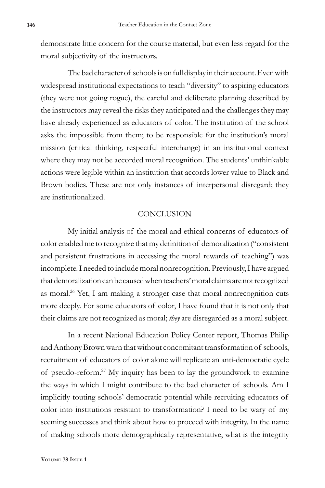demonstrate little concern for the course material, but even less regard for the moral subjectivity of the instructors.

The bad character of schools is on full display in their account. Even with widespread institutional expectations to teach "diversity" to aspiring educators (they were not going rogue), the careful and deliberate planning described by the instructors may reveal the risks they anticipated and the challenges they may have already experienced as educators of color. The institution of the school asks the impossible from them; to be responsible for the institution's moral mission (critical thinking, respectful interchange) in an institutional context where they may not be accorded moral recognition. The students' unthinkable actions were legible within an institution that accords lower value to Black and Brown bodies. These are not only instances of interpersonal disregard; they are institutionalized.

## **CONCLUSION**

My initial analysis of the moral and ethical concerns of educators of color enabled me to recognize that my definition of demoralization ("consistent and persistent frustrations in accessing the moral rewards of teaching") was incomplete. I needed to include moral nonrecognition. Previously, I have argued that demoralization can be caused when teachers' moral claims are not recognized as moral.<sup>26</sup> Yet, I am making a stronger case that moral nonrecognition cuts more deeply. For some educators of color, I have found that it is not only that their claims are not recognized as moral; *they* are disregarded as a moral subject.

In a recent National Education Policy Center report, Thomas Philip and Anthony Brown warn that without concomitant transformation of schools, recruitment of educators of color alone will replicate an anti-democratic cycle of pseudo-reform.27 My inquiry has been to lay the groundwork to examine the ways in which I might contribute to the bad character of schools. Am I implicitly touting schools' democratic potential while recruiting educators of color into institutions resistant to transformation? I need to be wary of my seeming successes and think about how to proceed with integrity. In the name of making schools more demographically representative, what is the integrity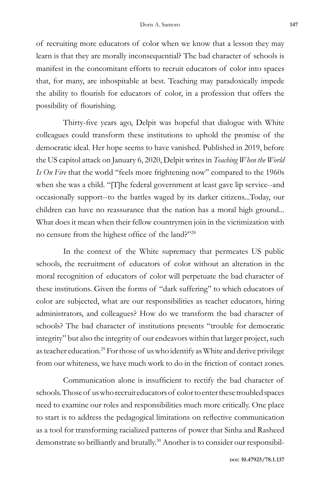of recruiting more educators of color when we know that a lesson they may learn is that they are morally inconsequential? The bad character of schools is manifest in the concomitant efforts to recruit educators of color into spaces that, for many, are inhospitable at best. Teaching may paradoxically impede the ability to flourish for educators of color, in a profession that offers the possibility of flourishing.

Thirty-five years ago, Delpit was hopeful that dialogue with White colleagues could transform these institutions to uphold the promise of the democratic ideal. Her hope seems to have vanished. Published in 2019, before the US capitol attack on January 6, 2020, Delpit writes in *Teaching When the World Is On Fire* that the world "feels more frightening now" compared to the 1960s when she was a child. "[T]he federal government at least gave lip service--and occasionally support--to the battles waged by its darker citizens...Today, our children can have no reassurance that the nation has a moral high ground... What does it mean when their fellow countrymen join in the victimization with no censure from the highest office of the land?"<sup>28</sup>

In the context of the White supremacy that permeates US public schools, the recruitment of educators of color without an alteration in the moral recognition of educators of color will perpetuate the bad character of these institutions. Given the forms of "dark suffering" to which educators of color are subjected, what are our responsibilities as teacher educators, hiring administrators, and colleagues? How do we transform the bad character of schools? The bad character of institutions presents "trouble for democratic integrity" but also the integrity of our endeavors within that larger project, such as teacher education.<sup>29</sup> For those of us who identify as White and derive privilege from our whiteness, we have much work to do in the friction of contact zones.

Communication alone is insufficient to rectify the bad character of schools. Those of us who recruit educators of color to enter these troubled spaces need to examine our roles and responsibilities much more critically. One place to start is to address the pedagogical limitations on reflective communication as a tool for transforming racialized patterns of power that Sinha and Rasheed demonstrate so brilliantly and brutally.<sup>30</sup> Another is to consider our responsibil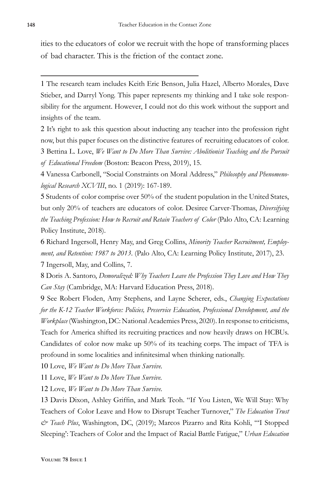ities to the educators of color we recruit with the hope of transforming places of bad character. This is the friction of the contact zone.

1 The research team includes Keith Eric Benson, Julia Hazel, Alberto Morales, Dave Stieber, and Darryl Yong. This paper represents my thinking and I take sole responsibility for the argument. However, I could not do this work without the support and insights of the team.

2 It's right to ask this question about inducting any teacher into the profession right now, but this paper focuses on the distinctive features of recruiting educators of color. 3 Bettina L. Love, *We Want to Do More Than Survive: Abolitionist Teaching and the Pursuit of Educational Freedom* (Boston: Beacon Press, 2019), 15.

4 Vanessa Carbonell, "Social Constraints on Moral Address," *Philosophy and Phenomenological Research XCVIII*, no. 1 (2019): 167-189.

5 Students of color comprise over 50% of the student population in the United States, but only 20% of teachers are educators of color. Desiree Carver-Thomas, *Diversifying the Teaching Profession: How to Recruit and Retain Teachers of Color (Palo Alto, CA: Learning* Policy Institute, 2018).

6 Richard Ingersoll, Henry May, and Greg Collins, *Minority Teacher Recruitment, Employment, and Retention: 1987 to 2013*. (Palo Alto, CA: Learning Policy Institute, 2017), 23. 7 Ingersoll, May, and Collins, 7.

8 Doris A. Santoro, *Demoralized: Why Teachers Leave the Profession They Love and How They Can Stay* (Cambridge, MA: Harvard Education Press, 2018).

9 See Robert Floden, Amy Stephens, and Layne Scherer, eds., *Changing Expectations for the K-12 Teacher Workforce: Policies, Preservice Education, Professional Development, and the Workplace* (Washington, DC: National Academies Press, 2020). In response to criticisms, Teach for America shifted its recruiting practices and now heavily draws on HCBUs. Candidates of color now make up 50% of its teaching corps. The impact of TFA is profound in some localities and infinitesimal when thinking nationally.

10 Love, *We Want to Do More Than Survive.*

11 Love, *We Want to Do More Than Survive.*

12 Love, *We Want to Do More Than Survive.*

13 Davis Dixon, Ashley Griffin, and Mark Teoh. "If You Listen, We Will Stay: Why Teachers of Color Leave and How to Disrupt Teacher Turnover," *The Education Trust & Teach Plus*, Washington, DC, (2019); Marcos Pizarro and Rita Kohli, "'I Stopped Sleeping': Teachers of Color and the Impact of Racial Battle Fatigue," *Urban Education*